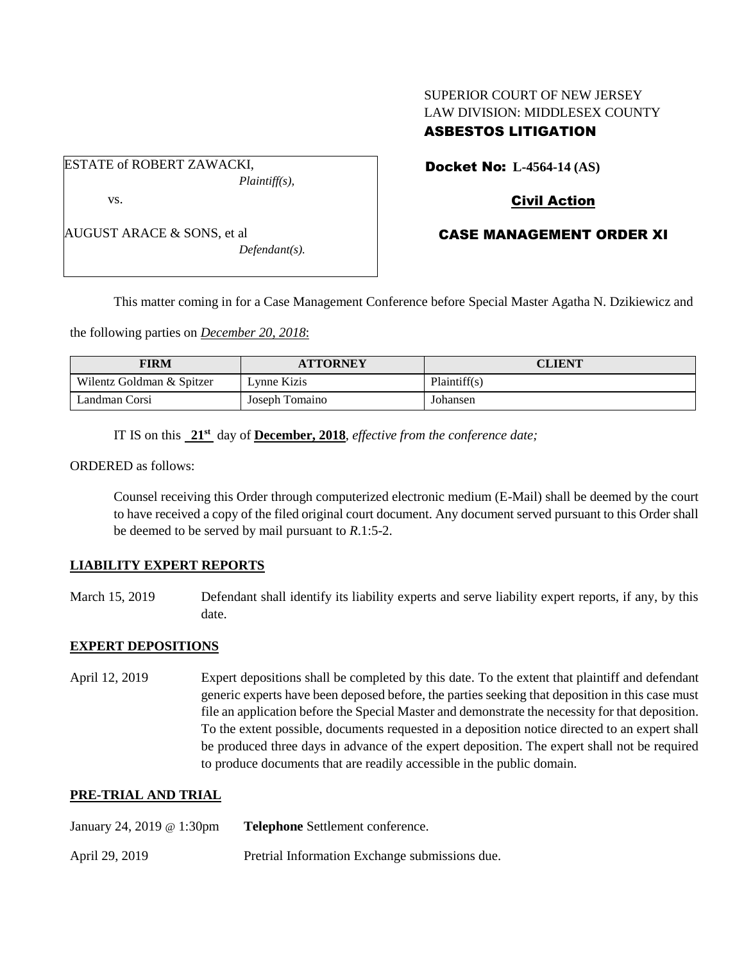# SUPERIOR COURT OF NEW JERSEY LAW DIVISION: MIDDLESEX COUNTY ASBESTOS LITIGATION

ESTATE of ROBERT ZAWACKI, *Plaintiff(s),* vs.

AUGUST ARACE & SONS, et al

*Defendant(s).*

Docket No: **L-4564-14 (AS)** 

## Civil Action

### CASE MANAGEMENT ORDER XI

This matter coming in for a Case Management Conference before Special Master Agatha N. Dzikiewicz and

the following parties on *December 20, 2018*:

| FIRM                      | <b>ATTORNEY</b> | CLIENT       |
|---------------------------|-----------------|--------------|
| Wilentz Goldman & Spitzer | Lynne Kizis     | Plaintiff(s) |
| Landman Corsi             | Joseph Tomaino  | Johansen     |

IT IS on this **21st** day of **December, 2018**, *effective from the conference date;*

ORDERED as follows:

Counsel receiving this Order through computerized electronic medium (E-Mail) shall be deemed by the court to have received a copy of the filed original court document. Any document served pursuant to this Order shall be deemed to be served by mail pursuant to *R*.1:5-2.

### **LIABILITY EXPERT REPORTS**

March 15, 2019 Defendant shall identify its liability experts and serve liability expert reports, if any, by this date.

#### **EXPERT DEPOSITIONS**

April 12, 2019 Expert depositions shall be completed by this date. To the extent that plaintiff and defendant generic experts have been deposed before, the parties seeking that deposition in this case must file an application before the Special Master and demonstrate the necessity for that deposition. To the extent possible, documents requested in a deposition notice directed to an expert shall be produced three days in advance of the expert deposition. The expert shall not be required to produce documents that are readily accessible in the public domain.

### **PRE-TRIAL AND TRIAL**

April 29, 2019 Pretrial Information Exchange submissions due.